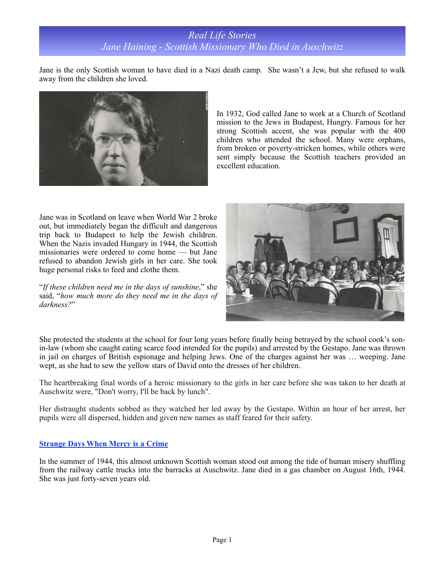Jane is the only Scottish woman to have died in a Nazi death camp. She wasn't a Jew, but she refused to walk away from the children she loved.



In 1932, God called Jane to work at a Church of Scotland mission to the Jews in Budapest, Hungry. Famous for her strong Scottish accent, she was popular with the 400 children who attended the school. Many were orphans, from broken or poverty-stricken homes, while others were sent simply because the Scottish teachers provided an excellent education.

Jane was in Scotland on leave when World War 2 broke out, but immediately began the difficult and dangerous trip back to Budapest to help the Jewish children. When the Nazis invaded Hungary in 1944, the Scottish missionaries were ordered to come home — but Jane refused to abandon Jewish girls in her care. She took huge personal risks to feed and clothe them.

"*If these children need me in the days of sunshine*," she said, "*how much more do they need me in the days of darkness?*"



She protected the students at the school for four long years before finally being betrayed by the school cook's sonin-law (whom she caught eating scarce food intended for the pupils) and arrested by the Gestapo. Jane was thrown in jail on charges of British espionage and helping Jews. One of the charges against her was … weeping. Jane wept, as she had to sew the yellow stars of David onto the dresses of her children.

The heartbreaking final words of a heroic missionary to the girls in her care before she was taken to her death at Auschwitz were, "Don't worry, I'll be back by lunch".

Her distraught students sobbed as they watched her led away by the Gestapo. Within an hour of her arrest, her pupils were all dispersed, hidden and given new names as staff feared for their safety.

## **Strange Days When Mercy is a Crime**

In the summer of 1944, this almost unknown Scottish woman stood out among the tide of human misery shuffling from the railway cattle trucks into the barracks at Auschwitz. Jane died in a gas chamber on August 16th, 1944. She was just forty-seven years old.